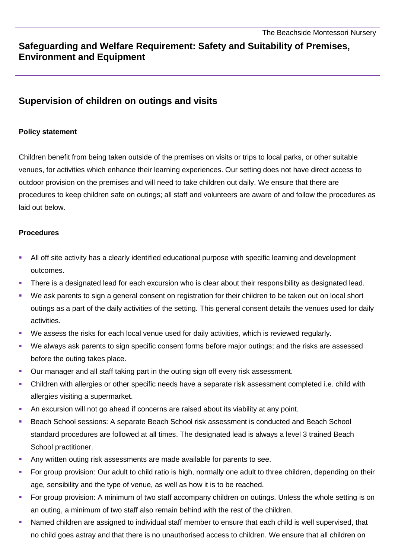## **Safeguarding and Welfare Requirement: Safety and Suitability of Premises, Environment and Equipment**

## **Supervision of children on outings and visits**

## **Policy statement**

Children benefit from being taken outside of the premises on visits or trips to local parks, or other suitable venues, for activities which enhance their learning experiences. Our setting does not have direct access to outdoor provision on the premises and will need to take children out daily. We ensure that there are procedures to keep children safe on outings; all staff and volunteers are aware of and follow the procedures as laid out below.

## **Procedures**

- All off site activity has a clearly identified educational purpose with specific learning and development outcomes.
- There is a designated lead for each excursion who is clear about their responsibility as designated lead.
- We ask parents to sign a general consent on registration for their children to be taken out on local short outings as a part of the daily activities of the setting. This general consent details the venues used for daily activities.
- We assess the risks for each local venue used for daily activities, which is reviewed regularly.
- We always ask parents to sign specific consent forms before major outings; and the risks are assessed before the outing takes place.
- Our manager and all staff taking part in the outing sign off every risk assessment.
- Children with allergies or other specific needs have a separate risk assessment completed i.e. child with allergies visiting a supermarket.
- An excursion will not go ahead if concerns are raised about its viability at any point.
- Beach School sessions: A separate Beach School risk assessment is conducted and Beach School standard procedures are followed at all times. The designated lead is always a level 3 trained Beach School practitioner.
- Any written outing risk assessments are made available for parents to see.
- For group provision: Our adult to child ratio is high, normally one adult to three children, depending on their age, sensibility and the type of venue, as well as how it is to be reached.
- For group provision: A minimum of two staff accompany children on outings. Unless the whole setting is on an outing, a minimum of two staff also remain behind with the rest of the children.
- Named children are assigned to individual staff member to ensure that each child is well supervised, that no child goes astray and that there is no unauthorised access to children. We ensure that all children on